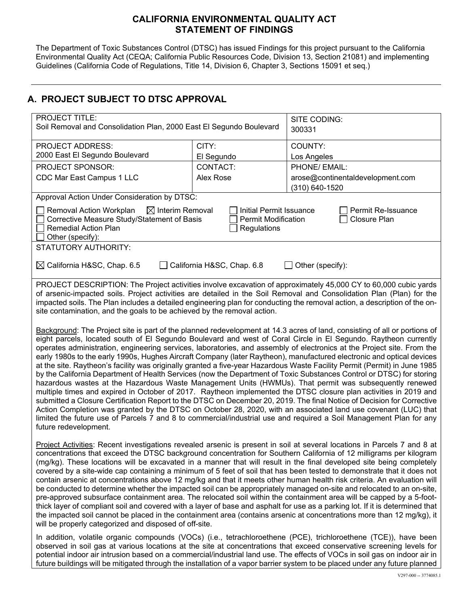### **CALIFORNIA ENVIRONMENTAL QUALITY ACT STATEMENT OF FINDINGS**

The Department of Toxic Substances Control (DTSC) has issued Findings for this project pursuant to the California Environmental Quality Act (CEQA; California Public Resources Code, Division 13, Section 21081) and implementing Guidelines (California Code of Regulations, Title 14, Division 6, Chapter 3, Sections 15091 et seq.)

# **A. PROJECT SUBJECT TO DTSC APPROVAL**

| <b>PROJECT TITLE:</b><br>Soil Removal and Consolidation Plan, 2000 East El Segundo Boulevard                                                                                                                                                                                                                                                                                                                                                                                                                                                                                                                                                                                                                                                                                                                                                                                                                                                                                                                                                                                                                                                                                                                                                                                                                                                                                  |            | SITE CODING:<br>300331           |  |  |
|-------------------------------------------------------------------------------------------------------------------------------------------------------------------------------------------------------------------------------------------------------------------------------------------------------------------------------------------------------------------------------------------------------------------------------------------------------------------------------------------------------------------------------------------------------------------------------------------------------------------------------------------------------------------------------------------------------------------------------------------------------------------------------------------------------------------------------------------------------------------------------------------------------------------------------------------------------------------------------------------------------------------------------------------------------------------------------------------------------------------------------------------------------------------------------------------------------------------------------------------------------------------------------------------------------------------------------------------------------------------------------|------------|----------------------------------|--|--|
| <b>PROJECT ADDRESS:</b>                                                                                                                                                                                                                                                                                                                                                                                                                                                                                                                                                                                                                                                                                                                                                                                                                                                                                                                                                                                                                                                                                                                                                                                                                                                                                                                                                       | CITY:      | COUNTY:                          |  |  |
| 2000 East El Segundo Boulevard                                                                                                                                                                                                                                                                                                                                                                                                                                                                                                                                                                                                                                                                                                                                                                                                                                                                                                                                                                                                                                                                                                                                                                                                                                                                                                                                                | El Segundo | Los Angeles                      |  |  |
| PROJECT SPONSOR:                                                                                                                                                                                                                                                                                                                                                                                                                                                                                                                                                                                                                                                                                                                                                                                                                                                                                                                                                                                                                                                                                                                                                                                                                                                                                                                                                              | CONTACT:   | PHONE/ EMAIL:                    |  |  |
| CDC Mar East Campus 1 LLC                                                                                                                                                                                                                                                                                                                                                                                                                                                                                                                                                                                                                                                                                                                                                                                                                                                                                                                                                                                                                                                                                                                                                                                                                                                                                                                                                     | Alex Rose  | arose@continentaldevelopment.com |  |  |
|                                                                                                                                                                                                                                                                                                                                                                                                                                                                                                                                                                                                                                                                                                                                                                                                                                                                                                                                                                                                                                                                                                                                                                                                                                                                                                                                                                               |            | (310) 640-1520                   |  |  |
| Approval Action Under Consideration by DTSC:                                                                                                                                                                                                                                                                                                                                                                                                                                                                                                                                                                                                                                                                                                                                                                                                                                                                                                                                                                                                                                                                                                                                                                                                                                                                                                                                  |            |                                  |  |  |
| $\boxtimes$ Interim Removal<br>Removal Action Workplan<br><b>Initial Permit Issuance</b><br>Permit Re-Issuance<br>Corrective Measure Study/Statement of Basis<br><b>Permit Modification</b><br><b>Closure Plan</b><br><b>Remedial Action Plan</b><br>Regulations<br>Other (specify):                                                                                                                                                                                                                                                                                                                                                                                                                                                                                                                                                                                                                                                                                                                                                                                                                                                                                                                                                                                                                                                                                          |            |                                  |  |  |
| STATUTORY AUTHORITY:                                                                                                                                                                                                                                                                                                                                                                                                                                                                                                                                                                                                                                                                                                                                                                                                                                                                                                                                                                                                                                                                                                                                                                                                                                                                                                                                                          |            |                                  |  |  |
| $\boxtimes$ California H&SC, Chap. 6.5<br>California H&SC, Chap. 6.8<br>Other (specify):                                                                                                                                                                                                                                                                                                                                                                                                                                                                                                                                                                                                                                                                                                                                                                                                                                                                                                                                                                                                                                                                                                                                                                                                                                                                                      |            |                                  |  |  |
| PROJECT DESCRIPTION: The Project activities involve excavation of approximately 45,000 CY to 60,000 cubic yards<br>of arsenic-impacted soils. Project activities are detailed in the Soil Removal and Consolidation Plan (Plan) for the<br>impacted soils. The Plan includes a detailed engineering plan for conducting the removal action, a description of the on-<br>site contamination, and the goals to be achieved by the removal action.                                                                                                                                                                                                                                                                                                                                                                                                                                                                                                                                                                                                                                                                                                                                                                                                                                                                                                                               |            |                                  |  |  |
| Background: The Project site is part of the planned redevelopment at 14.3 acres of land, consisting of all or portions of<br>eight parcels, located south of El Segundo Boulevard and west of Coral Circle in El Segundo. Raytheon currently<br>operates administration, engineering services, laboratories, and assembly of electronics at the Project site. From the<br>early 1980s to the early 1990s, Hughes Aircraft Company (later Raytheon), manufactured electronic and optical devices<br>at the site. Raytheon's facility was originally granted a five-year Hazardous Waste Facility Permit (Permit) in June 1985<br>by the California Department of Health Services (now the Department of Toxic Substances Control or DTSC) for storing<br>hazardous wastes at the Hazardous Waste Management Units (HWMUs). That permit was subsequently renewed<br>multiple times and expired in October of 2017. Raytheon implemented the DTSC closure plan activities in 2019 and<br>submitted a Closure Certification Report to the DTSC on December 20, 2019. The final Notice of Decision for Corrective<br>Action Completion was granted by the DTSC on October 28, 2020, with an associated land use covenant (LUC) that<br>limited the future use of Parcels 7 and 8 to commercial/industrial use and required a Soil Management Plan for any<br>future redevelopment. |            |                                  |  |  |
| Project Activities: Recent investigations revealed arsenic is present in soil at several locations in Parcels 7 and 8 at<br>concentrations that exceed the DTSC background concentration for Southern California of 12 milligrams per kilogram<br>(mg/kg). These locations will be excavated in a manner that will result in the final developed site being completely<br>covered by a site-wide cap containing a minimum of 5 feet of soil that has been tested to demonstrate that it does not<br>contain arsenic at concentrations above 12 mg/kg and that it meets other human health risk criteria. An evaluation will<br>be conducted to determine whether the impacted soil can be appropriately managed on-site and relocated to an on-site,<br>pre-approved subsurface containment area. The relocated soil within the containment area will be capped by a 5-foot-<br>thick layer of compliant soil and covered with a layer of base and asphalt for use as a parking lot. If it is determined that<br>the impacted soil cannot be placed in the containment area (contains arsenic at concentrations more than 12 mg/kg), it<br>will be properly categorized and disposed of off-site.                                                                                                                                                                             |            |                                  |  |  |
| In addition, volatile organic compounds (VOCs) (i.e., tetrachloroethene (PCE), trichloroethene (TCE)), have been<br>observed in soil gas at various locations at the site at concentrations that exceed conservative screening levels for<br>potential indoor air intrusion based on a commercial/industrial land use. The effects of VOCs in soil gas on indoor air in<br>future buildings will be mitigated through the installation of a vapor barrier system to be placed under any future planned                                                                                                                                                                                                                                                                                                                                                                                                                                                                                                                                                                                                                                                                                                                                                                                                                                                                        |            |                                  |  |  |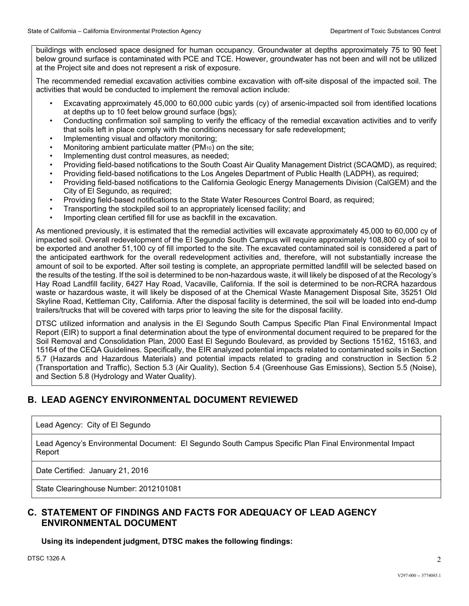buildings with enclosed space designed for human occupancy. Groundwater at depths approximately 75 to 90 feet below ground surface is contaminated with PCE and TCE. However, groundwater has not been and will not be utilized at the Project site and does not represent a risk of exposure.

The recommended remedial excavation activities combine excavation with off-site disposal of the impacted soil. The activities that would be conducted to implement the removal action include:

- Excavating approximately 45,000 to 60,000 cubic yards (cy) of arsenic-impacted soil from identified locations at depths up to 10 feet below ground surface (bgs);
- Conducting confirmation soil sampling to verify the efficacy of the remedial excavation activities and to verify that soils left in place comply with the conditions necessary for safe redevelopment;
- Implementing visual and olfactory monitoring;
- Monitoring ambient particulate matter  $(PM_{10})$  on the site;
- Implementing dust control measures, as needed;
- Providing field-based notifications to the South Coast Air Quality Management District (SCAQMD), as required;
- Providing field-based notifications to the Los Angeles Department of Public Health (LADPH), as required;
- Providing field-based notifications to the California Geologic Energy Managements Division (CalGEM) and the City of El Segundo, as required;
- Providing field-based notifications to the State Water Resources Control Board, as required;
- Transporting the stockpiled soil to an appropriately licensed facility; and
- Importing clean certified fill for use as backfill in the excavation.

As mentioned previously, it is estimated that the remedial activities will excavate approximately 45,000 to 60,000 cy of impacted soil. Overall redevelopment of the El Segundo South Campus will require approximately 108,800 cy of soil to be exported and another 51,100 cy of fill imported to the site. The excavated contaminated soil is considered a part of the anticipated earthwork for the overall redevelopment activities and, therefore, will not substantially increase the amount of soil to be exported. After soil testing is complete, an appropriate permitted landfill will be selected based on the results of the testing. If the soil is determined to be non-hazardous waste, it will likely be disposed of at the Recology's Hay Road Landfill facility, 6427 Hay Road, Vacaville, California. If the soil is determined to be non-RCRA hazardous waste or hazardous waste, it will likely be disposed of at the Chemical Waste Management Disposal Site, 35251 Old Skyline Road, Kettleman City, California. After the disposal facility is determined, the soil will be loaded into end-dump trailers/trucks that will be covered with tarps prior to leaving the site for the disposal facility.

DTSC utilized information and analysis in the El Segundo South Campus Specific Plan Final Environmental Impact Report (EIR) to support a final determination about the type of environmental document required to be prepared for the Soil Removal and Consolidation Plan, 2000 East El Segundo Boulevard, as provided by Sections 15162, 15163, and 15164 of the CEQA Guidelines. Specifically, the EIR analyzed potential impacts related to contaminated soils in Section 5.7 (Hazards and Hazardous Materials) and potential impacts related to grading and construction in Section 5.2 (Transportation and Traffic), Section 5.3 (Air Quality), Section 5.4 (Greenhouse Gas Emissions), Section 5.5 (Noise), and Section 5.8 (Hydrology and Water Quality).

# **B. LEAD AGENCY ENVIRONMENTAL DOCUMENT REVIEWED**

#### Lead Agency: City of El Segundo

Lead Agency's Environmental Document: El Segundo South Campus Specific Plan Final Environmental Impact Report

Date Certified: January 21, 2016

State Clearinghouse Number: 2012101081

## **C. STATEMENT OF FINDINGS AND FACTS FOR ADEQUACY OF LEAD AGENCY ENVIRONMENTAL DOCUMENT**

**Using its independent judgment, DTSC makes the following findings:**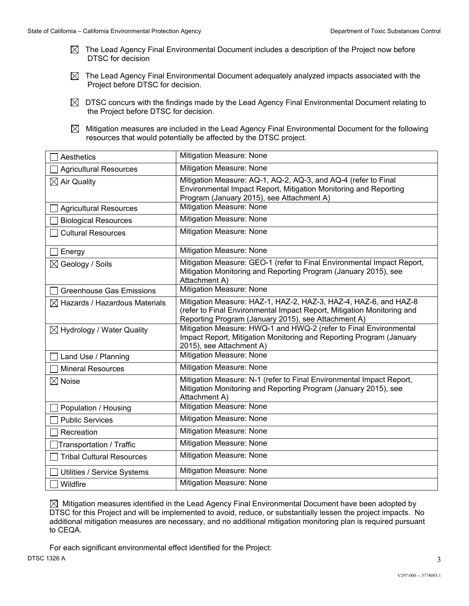- $\boxtimes$  The Lead Agency Final Environmental Document includes a description of the Project now before DTSC for decision
- $\boxtimes$  The Lead Agency Final Environmental Document adequately analyzed impacts associated with the Project before DTSC for decision.
- $\boxtimes$  DTSC concurs with the findings made by the Lead Agency Final Environmental Document relating to the Project before DTSC for decision.
- $\boxtimes$  Mitigation measures are included in the Lead Agency Final Environmental Document for the following resources that would potentially be affected by the DTSC project.

| Aesthetics                                | Mitigation Measure: None                                                                                                                                                                          |  |
|-------------------------------------------|---------------------------------------------------------------------------------------------------------------------------------------------------------------------------------------------------|--|
| <b>Agricultural Resources</b>             | <b>Mitigation Measure: None</b>                                                                                                                                                                   |  |
| $\boxtimes$ Air Quality                   | Mitigation Measure: AQ-1, AQ-2, AQ-3, and AQ-4 (refer to Final<br>Environmental Impact Report, Mitigation Monitoring and Reporting<br>Program (January 2015), see Attachment A)                   |  |
| <b>Agricultural Resources</b>             | <b>Mitigation Measure: None</b>                                                                                                                                                                   |  |
| <b>Biological Resources</b>               | Mitigation Measure: None                                                                                                                                                                          |  |
| <b>Cultural Resources</b>                 | Mitigation Measure: None                                                                                                                                                                          |  |
| Energy                                    | Mitigation Measure: None                                                                                                                                                                          |  |
| $\boxtimes$ Geology / Soils               | Mitigation Measure: GEO-1 (refer to Final Environmental Impact Report,<br>Mitigation Monitoring and Reporting Program (January 2015), see<br>Attachment A)                                        |  |
| <b>Greenhouse Gas Emissions</b>           | Mitigation Measure: None                                                                                                                                                                          |  |
| $\boxtimes$ Hazards / Hazardous Materials | Mitigation Measure: HAZ-1, HAZ-2, HAZ-3, HAZ-4, HAZ-6, and HAZ-8<br>(refer to Final Environmental Impact Report, Mitigation Monitoring and<br>Reporting Program (January 2015), see Attachment A) |  |
| $\boxtimes$ Hydrology / Water Quality     | Mitigation Measure: HWQ-1 and HWQ-2 (refer to Final Environmental<br>Impact Report, Mitigation Monitoring and Reporting Program (January<br>2015), see Attachment A)                              |  |
| Land Use / Planning                       | Mitigation Measure: None                                                                                                                                                                          |  |
| <b>Mineral Resources</b>                  | Mitigation Measure: None                                                                                                                                                                          |  |
| $\boxtimes$ Noise                         | Mitigation Measure: N-1 (refer to Final Environmental Impact Report,<br>Mitigation Monitoring and Reporting Program (January 2015), see<br>Attachment A)                                          |  |
| Population / Housing                      | <b>Mitigation Measure: None</b>                                                                                                                                                                   |  |
| <b>Public Services</b>                    | <b>Mitigation Measure: None</b>                                                                                                                                                                   |  |
| Recreation                                | Mitigation Measure: None                                                                                                                                                                          |  |
| Transportation / Traffic                  | Mitigation Measure: None                                                                                                                                                                          |  |
| <b>Tribal Cultural Resources</b>          | Mitigation Measure: None                                                                                                                                                                          |  |
| Utilities / Service Systems               | Mitigation Measure: None                                                                                                                                                                          |  |
| Wildfire                                  | Mitigation Measure: None                                                                                                                                                                          |  |

 $\boxtimes$  Mitigation measures identified in the Lead Agency Final Environmental Document have been adopted by DTSC for this Project and will be implemented to avoid, reduce, or substantially lessen the project impacts. No additional mitigation measures are necessary, and no additional mitigation monitoring plan is required pursuant to CEQA.

For each significant environmental effect identified for the Project: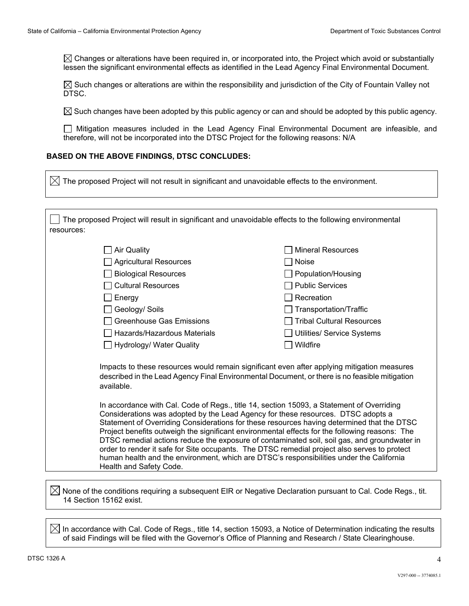$\boxtimes$  Changes or alterations have been required in, or incorporated into, the Project which avoid or substantially lessen the significant environmental effects as identified in the Lead Agency Final Environmental Document.

 $\boxtimes$  Such changes or alterations are within the responsibility and jurisdiction of the City of Fountain Valley not DTSC.

 $\boxtimes$  Such changes have been adopted by this public agency or can and should be adopted by this public agency.

Mitigation measures included in the Lead Agency Final Environmental Document are infeasible, and therefore, will not be incorporated into the DTSC Project for the following reasons: N/A

#### **BASED ON THE ABOVE FINDINGS, DTSC CONCLUDES:**

| resources: | The proposed Project will result in significant and unavoidable effects to the following environmental      |                                                                                                                                                                                                                                                                                                                                                                                                                                                                                                                                                                                       |
|------------|-------------------------------------------------------------------------------------------------------------|---------------------------------------------------------------------------------------------------------------------------------------------------------------------------------------------------------------------------------------------------------------------------------------------------------------------------------------------------------------------------------------------------------------------------------------------------------------------------------------------------------------------------------------------------------------------------------------|
|            | <b>Air Quality</b>                                                                                          | <b>Mineral Resources</b>                                                                                                                                                                                                                                                                                                                                                                                                                                                                                                                                                              |
|            | Agricultural Resources                                                                                      | Noise                                                                                                                                                                                                                                                                                                                                                                                                                                                                                                                                                                                 |
|            | <b>Biological Resources</b>                                                                                 | Population/Housing                                                                                                                                                                                                                                                                                                                                                                                                                                                                                                                                                                    |
|            | <b>Cultural Resources</b>                                                                                   | <b>Public Services</b>                                                                                                                                                                                                                                                                                                                                                                                                                                                                                                                                                                |
|            | $\Box$ Energy                                                                                               | Recreation<br>Transportation/Traffic                                                                                                                                                                                                                                                                                                                                                                                                                                                                                                                                                  |
|            | $\Box$ Geology/ Soils<br><b>Greenhouse Gas Emissions</b>                                                    | <b>Tribal Cultural Resources</b>                                                                                                                                                                                                                                                                                                                                                                                                                                                                                                                                                      |
|            | Hazards/Hazardous Materials                                                                                 | Utilities/ Service Systems                                                                                                                                                                                                                                                                                                                                                                                                                                                                                                                                                            |
|            | Hydrology/ Water Quality                                                                                    | Wildfire                                                                                                                                                                                                                                                                                                                                                                                                                                                                                                                                                                              |
|            | available.                                                                                                  | Impacts to these resources would remain significant even after applying mitigation measures<br>described in the Lead Agency Final Environmental Document, or there is no feasible mitigation                                                                                                                                                                                                                                                                                                                                                                                          |
|            | Considerations was adopted by the Lead Agency for these resources. DTSC adopts a<br>Health and Safety Code. | In accordance with Cal. Code of Regs., title 14, section 15093, a Statement of Overriding<br>Statement of Overriding Considerations for these resources having determined that the DTSC<br>Project benefits outweigh the significant environmental effects for the following reasons: The<br>DTSC remedial actions reduce the exposure of contaminated soil, soil gas, and groundwater in<br>order to render it safe for Site occupants. The DTSC remedial project also serves to protect<br>human health and the environment, which are DTSC's responsibilities under the California |

 $\boxtimes$  In accordance with Cal. Code of Regs., title 14, section 15093, a Notice of Determination indicating the results of said Findings will be filed with the Governor's Office of Planning and Research / State Clearinghouse.

 $\sqrt{ }$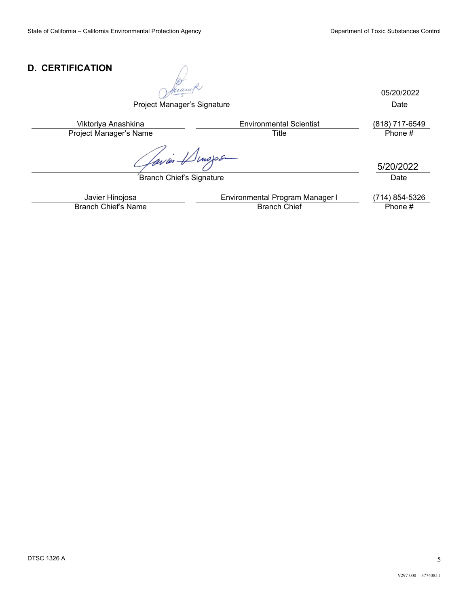## **D. CERTIFICATION**

05/20/2022Project Manager's Signature Date Viktoriya Anashkina Environmental Scientist (818) 717-6549 Project Manager's Name Title Title Phone #  $\mathbb{Z}$ inojos ps:1er 5/20/2022 Branch Chief's Signature Date Date Javier Hinojosa **Environmental Program Manager I** (714) 854-5326<br>Anch Chief's Name **Environmental Program Manager I** (714) 854-5326 Branch Chief's Name

DTSC 1326 A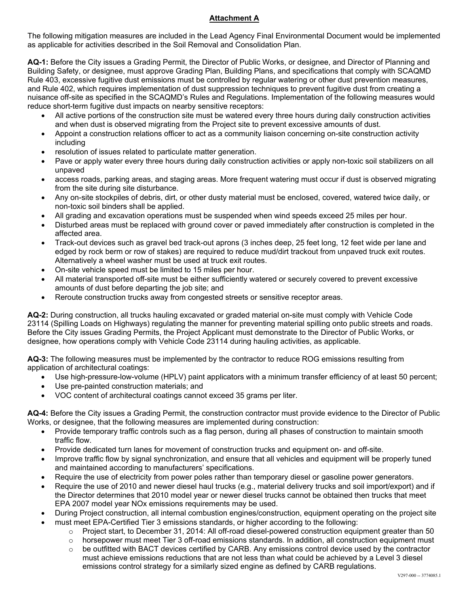### **Attachment A**

The following mitigation measures are included in the Lead Agency Final Environmental Document would be implemented as applicable for activities described in the Soil Removal and Consolidation Plan.

**AQ-1:** Before the City issues a Grading Permit, the Director of Public Works, or designee, and Director of Planning and Building Safety, or designee, must approve Grading Plan, Building Plans, and specifications that comply with SCAQMD Rule 403, excessive fugitive dust emissions must be controlled by regular watering or other dust prevention measures, and Rule 402, which requires implementation of dust suppression techniques to prevent fugitive dust from creating a nuisance off-site as specified in the SCAQMD's Rules and Regulations. Implementation of the following measures would reduce short-term fugitive dust impacts on nearby sensitive receptors:

- All active portions of the construction site must be watered every three hours during daily construction activities and when dust is observed migrating from the Project site to prevent excessive amounts of dust.
- Appoint a construction relations officer to act as a community liaison concerning on-site construction activity including
- resolution of issues related to particulate matter generation.
- Pave or apply water every three hours during daily construction activities or apply non-toxic soil stabilizers on all unpaved
- access roads, parking areas, and staging areas. More frequent watering must occur if dust is observed migrating from the site during site disturbance.
- Any on-site stockpiles of debris, dirt, or other dusty material must be enclosed, covered, watered twice daily, or non-toxic soil binders shall be applied.
- All grading and excavation operations must be suspended when wind speeds exceed 25 miles per hour.
- Disturbed areas must be replaced with ground cover or paved immediately after construction is completed in the affected area.
- Track-out devices such as gravel bed track-out aprons (3 inches deep, 25 feet long, 12 feet wide per lane and edged by rock berm or row of stakes) are required to reduce mud/dirt trackout from unpaved truck exit routes. Alternatively a wheel washer must be used at truck exit routes.
- On-site vehicle speed must be limited to 15 miles per hour.
- All material transported off-site must be either sufficiently watered or securely covered to prevent excessive amounts of dust before departing the job site; and
- Reroute construction trucks away from congested streets or sensitive receptor areas.

**AQ-2:** During construction, all trucks hauling excavated or graded material on-site must comply with Vehicle Code 23114 (Spilling Loads on Highways) regulating the manner for preventing material spilling onto public streets and roads. Before the City issues Grading Permits, the Project Applicant must demonstrate to the Director of Public Works, or designee, how operations comply with Vehicle Code 23114 during hauling activities, as applicable.

**AQ-3:** The following measures must be implemented by the contractor to reduce ROG emissions resulting from application of architectural coatings:

- Use high-pressure-low-volume (HPLV) paint applicators with a minimum transfer efficiency of at least 50 percent;
- Use pre-painted construction materials; and
- VOC content of architectural coatings cannot exceed 35 grams per liter.

**AQ-4:** Before the City issues a Grading Permit, the construction contractor must provide evidence to the Director of Public Works, or designee, that the following measures are implemented during construction:

- Provide temporary traffic controls such as a flag person, during all phases of construction to maintain smooth traffic flow.
- Provide dedicated turn lanes for movement of construction trucks and equipment on- and off-site.
- Improve traffic flow by signal synchronization, and ensure that all vehicles and equipment will be properly tuned and maintained according to manufacturers' specifications.
- Require the use of electricity from power poles rather than temporary diesel or gasoline power generators.
- Require the use of 2010 and newer diesel haul trucks (e.g., material delivery trucks and soil import/export) and if the Director determines that 2010 model year or newer diesel trucks cannot be obtained then trucks that meet EPA 2007 model year NOx emissions requirements may be used.
- During Project construction, all internal combustion engines/construction, equipment operating on the project site
- must meet EPA-Certified Tier 3 emissions standards, or higher according to the following:
	- $\circ$  Project start, to December 31, 2014: All off-road diesel-powered construction equipment greater than 50
	- $\circ$  horsepower must meet Tier 3 off-road emissions standards. In addition, all construction equipment must
	- $\circ$  be outfitted with BACT devices certified by CARB. Any emissions control device used by the contractor must achieve emissions reductions that are not less than what could be achieved by a Level 3 diesel emissions control strategy for a similarly sized engine as defined by CARB regulations.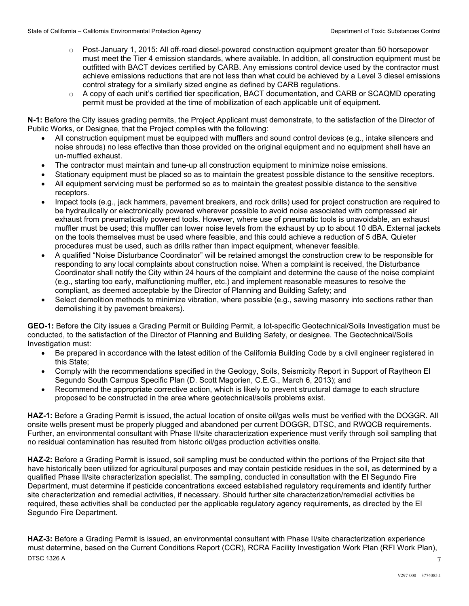- o Post-January 1, 2015: All off-road diesel-powered construction equipment greater than 50 horsepower must meet the Tier 4 emission standards, where available. In addition, all construction equipment must be outfitted with BACT devices certified by CARB. Any emissions control device used by the contractor must achieve emissions reductions that are not less than what could be achieved by a Level 3 diesel emissions control strategy for a similarly sized engine as defined by CARB regulations.
- $\circ$  A copy of each unit's certified tier specification, BACT documentation, and CARB or SCAQMD operating permit must be provided at the time of mobilization of each applicable unit of equipment.

**N-1:** Before the City issues grading permits, the Project Applicant must demonstrate, to the satisfaction of the Director of Public Works, or Designee, that the Project complies with the following:

- All construction equipment must be equipped with mufflers and sound control devices (e.g., intake silencers and noise shrouds) no less effective than those provided on the original equipment and no equipment shall have an un-muffled exhaust.
- The contractor must maintain and tune-up all construction equipment to minimize noise emissions.
- Stationary equipment must be placed so as to maintain the greatest possible distance to the sensitive receptors.
- All equipment servicing must be performed so as to maintain the greatest possible distance to the sensitive receptors.
- Impact tools (e.g., jack hammers, pavement breakers, and rock drills) used for project construction are required to be hydraulically or electronically powered wherever possible to avoid noise associated with compressed air exhaust from pneumatically powered tools. However, where use of pneumatic tools is unavoidable, an exhaust muffler must be used; this muffler can lower noise levels from the exhaust by up to about 10 dBA. External jackets on the tools themselves must be used where feasible, and this could achieve a reduction of 5 dBA. Quieter procedures must be used, such as drills rather than impact equipment, whenever feasible.
- A qualified "Noise Disturbance Coordinator" will be retained amongst the construction crew to be responsible for responding to any local complaints about construction noise. When a complaint is received, the Disturbance Coordinator shall notify the City within 24 hours of the complaint and determine the cause of the noise complaint (e.g., starting too early, malfunctioning muffler, etc.) and implement reasonable measures to resolve the compliant, as deemed acceptable by the Director of Planning and Building Safety; and
- Select demolition methods to minimize vibration, where possible (e.g., sawing masonry into sections rather than demolishing it by pavement breakers).

**GEO-1:** Before the City issues a Grading Permit or Building Permit, a lot-specific Geotechnical/Soils Investigation must be conducted, to the satisfaction of the Director of Planning and Building Safety, or designee. The Geotechnical/Soils Investigation must:

- Be prepared in accordance with the latest edition of the California Building Code by a civil engineer registered in this State;
- Comply with the recommendations specified in the Geology, Soils, Seismicity Report in Support of Raytheon El Segundo South Campus Specific Plan (D. Scott Magorien, C.E.G., March 6, 2013); and
- Recommend the appropriate corrective action, which is likely to prevent structural damage to each structure proposed to be constructed in the area where geotechnical/soils problems exist.

**HAZ-1:** Before a Grading Permit is issued, the actual location of onsite oil/gas wells must be verified with the DOGGR. All onsite wells present must be properly plugged and abandoned per current DOGGR, DTSC, and RWQCB requirements. Further, an environmental consultant with Phase II/site characterization experience must verify through soil sampling that no residual contamination has resulted from historic oil/gas production activities onsite.

**HAZ-2:** Before a Grading Permit is issued, soil sampling must be conducted within the portions of the Project site that have historically been utilized for agricultural purposes and may contain pesticide residues in the soil, as determined by a qualified Phase II/site characterization specialist. The sampling, conducted in consultation with the El Segundo Fire Department, must determine if pesticide concentrations exceed established regulatory requirements and identify further site characterization and remedial activities, if necessary. Should further site characterization/remedial activities be required, these activities shall be conducted per the applicable regulatory agency requirements, as directed by the El Segundo Fire Department.

DTSC 1326 A **HAZ-3:** Before a Grading Permit is issued, an environmental consultant with Phase II/site characterization experience must determine, based on the Current Conditions Report (CCR), RCRA Facility Investigation Work Plan (RFI Work Plan),